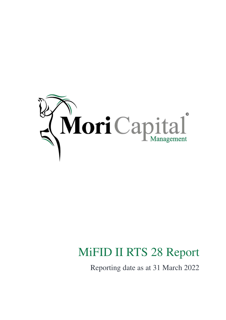

# MiFID II RTS 28 Report

Reporting date as at 31 March 2022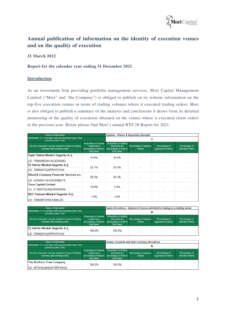

## **Annual publication of information on the identity of execution venues and on the quality of execution**

### **31 March 2022**

#### **Report for the calendar year ending 31 December 2021**

#### **Introduction**

As an investment firm providing portfolio management services, Mori Capital Management Limited ("Mori" and "the Company") is obliged to publish on its website information on the top-five execution venues in terms of trading volumes where it executed trading orders. Mori is also obliged to publish a summary of the analysis and conclusions it draws from its detailed monitoring of the quality of execution obtained on the venues where it executed client orders in the previous year. Below please find Mori's annual RTS 28 Report for 2021.

| <b>Class of Instrument</b>                                                         |                                                                             | <b>Equities - Shares &amp; Depositary Receipts</b>                          |                                 |                                    |                                  |
|------------------------------------------------------------------------------------|-----------------------------------------------------------------------------|-----------------------------------------------------------------------------|---------------------------------|------------------------------------|----------------------------------|
| Notification if <1 average trade per business day in the<br>previous year (Y/N)    |                                                                             | Ν                                                                           |                                 |                                    |                                  |
| Top five execution venues ranked in terms of trading<br>volumes (descending order) | Proportion of volume<br>traded as a<br>percentage of total in<br>that class | Proportion of orders<br>executed as<br>percentage of total in<br>that class | Percentage of passive<br>orders | Percentage of<br>aggressive orders | Percentage of<br>directed orders |
| Oyak Yatirim Menkul Degerler A.S.                                                  | 35.6%                                                                       | 34.6%                                                                       |                                 |                                    |                                  |
| LEI: 7890006E6AYACJD3KM63                                                          |                                                                             |                                                                             |                                 |                                    |                                  |
| <b>IS Yatirim Menkul Degerler A.S.</b>                                             | 22.1%                                                                       | 29.5%                                                                       |                                 |                                    |                                  |
| LEI: 7890005YOXBTRIYDY554                                                          |                                                                             |                                                                             |                                 |                                    |                                  |
| <b>Wood &amp; Company Financial Services a.s.</b>                                  | 20.5%                                                                       | 24.3%                                                                       |                                 |                                    |                                  |
| LEI: 549300UYJKOXE3HB8L79                                                          |                                                                             |                                                                             |                                 |                                    |                                  |
| <b>Sova Capital Limited</b>                                                        | 19.9%                                                                       | $9.0\%$                                                                     |                                 |                                    |                                  |
| LEI: 213800T9OJMZA69QDM04                                                          |                                                                             |                                                                             |                                 |                                    |                                  |
| <b>BGC Partners Menkul Degerler A.S.</b>                                           | 1.9%                                                                        | 2.6%                                                                        |                                 |                                    |                                  |
| LEI: 789000PL910K7JN0CJ35                                                          |                                                                             |                                                                             |                                 |                                    |                                  |

| Class of Instrument                                                                |                                                                             | Equity Derivatives - Options & Futures admitted to trading on a trading venue |                                 |                                    |                                  |
|------------------------------------------------------------------------------------|-----------------------------------------------------------------------------|-------------------------------------------------------------------------------|---------------------------------|------------------------------------|----------------------------------|
| Notification if <1 average trade per business day in the<br>previous year (Y/N)    |                                                                             | N                                                                             |                                 |                                    |                                  |
| Top five execution venues ranked in terms of trading<br>volumes (descending order) | Proportion of volume<br>traded as a<br>percentage of total in<br>that class | Proportion of orders<br>executed as<br>percentage of total in<br>that class   | Percentage of passive<br>orders | Percentage of<br>aggressive orders | Percentage of<br>directed orders |
| <b>IS Yatirim Menkul Degerler A.S.</b>                                             | 100 0%                                                                      | 100 0%                                                                        | $\overline{\phantom{0}}$        |                                    |                                  |
| LEI: 7890005YQXBTRIYDY554                                                          |                                                                             |                                                                               |                                 |                                    |                                  |

| <b>Class of Instrument</b>                                                         |                                                                             | Swaps, forwards and other currency derivatives                              |                                 |                                    |                                  |
|------------------------------------------------------------------------------------|-----------------------------------------------------------------------------|-----------------------------------------------------------------------------|---------------------------------|------------------------------------|----------------------------------|
| Notification if <1 average trade per business day in the<br>previous year (Y/N)    |                                                                             | N                                                                           |                                 |                                    |                                  |
| Top five execution venues ranked in terms of trading<br>volumes (descending order) | Proportion of volume<br>traded as a<br>percentage of total in<br>that class | Proportion of orders<br>executed as<br>percentage of total in<br>that class | Percentage of passive<br>orders | Percentage of<br>aggressive orders | Percentage of<br>directed orders |
| <b>The Northern Trust Company</b>                                                  | 100.0%                                                                      | 100.0%                                                                      | -                               |                                    |                                  |
| LEI: 6PTKHDJ8HDUF78PFWH30                                                          |                                                                             |                                                                             |                                 |                                    |                                  |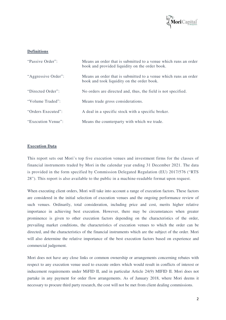

#### **Definitions**

| "Passive Order":    | Means an order that is submitted to a venue which runs an order<br>book and provided liquidity on the order book. |
|---------------------|-------------------------------------------------------------------------------------------------------------------|
| "Aggressive Order": | Means an order that is submitted to a venue which runs an order<br>book and took liquidity on the order book.     |
| "Directed Order":   | No orders are directed and, thus, the field is not specified.                                                     |
| "Volume Traded":    | Means trade gross considerations.                                                                                 |
| "Orders Executed":  | A deal in a specific stock with a specific broker.                                                                |
| "Execution Venue":  | Means the counterparty with which we trade.                                                                       |

#### **Execution Data**

This report sets out Mori's top five execution venues and investment firms for the classes of financial instruments traded by Mori in the calendar year ending 31 December 2021. The data is provided in the form specified by Commission Delegated Regulation (EU) 2017/576 ("RTS 28"). This report is also available to the public in a machine-readable format upon request.

When executing client orders, Mori will take into account a range of execution factors. These factors are considered in the initial selection of execution venues and the ongoing performance review of such venues. Ordinarily, total consideration, including price and cost, merits higher relative importance in achieving best execution. However, there may be circumstances when greater prominence is given to other execution factors depending on the characteristics of the order, prevailing market conditions, the characteristics of execution venues to which the order can be directed, and the characteristics of the financial instruments which are the subject of the order. Mori will also determine the relative importance of the best execution factors based on experience and commercial judgement.

Mori does not have any close links or common ownership or arrangements concerning rebates with respect to any execution venue used to execute orders which would result in conflicts of interest or inducement requirements under MiFID II, and in particular Article 24(9) MIFID II. Mori does not partake in any payment for order flow arrangements. As of January 2018, where Mori deems it necessary to procure third party research, the cost will not be met from client dealing commissions.